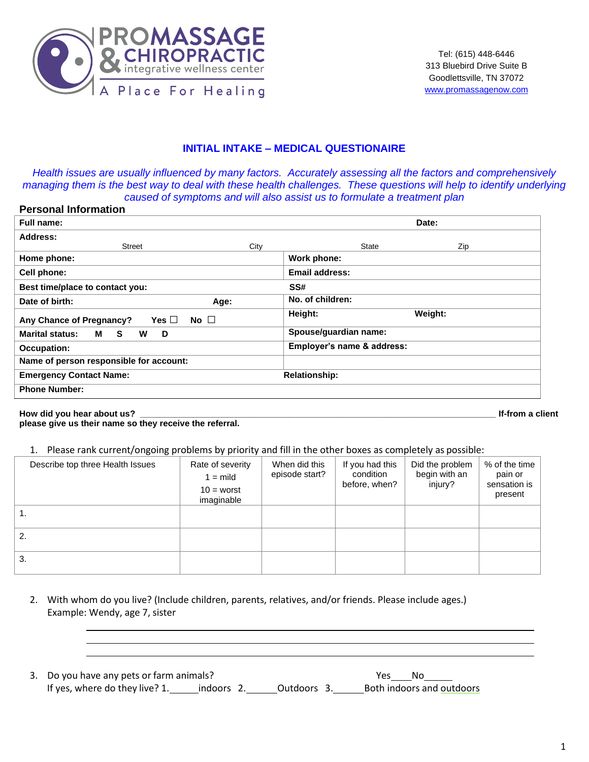

#### **INITIAL INTAKE – MEDICAL QUESTIONAIRE**

*Health issues are usually influenced by many factors. Accurately assessing all the factors and comprehensively managing them is the best way to deal with these health challenges. These questions will help to identify underlying caused of symptoms and will also assist us to formulate a treatment plan*

|--|

| Full name:                                                                                                                                                                                                                                                               | Date:                      |
|--------------------------------------------------------------------------------------------------------------------------------------------------------------------------------------------------------------------------------------------------------------------------|----------------------------|
| Address:                                                                                                                                                                                                                                                                 |                            |
| City<br>Street                                                                                                                                                                                                                                                           | <b>State</b><br>Zip        |
| Home phone:                                                                                                                                                                                                                                                              | Work phone:                |
| Cell phone:                                                                                                                                                                                                                                                              | Email address:             |
| Best time/place to contact you:                                                                                                                                                                                                                                          | SS#                        |
| Date of birth:<br>Age:                                                                                                                                                                                                                                                   | No. of children:           |
| No $\square$<br>Yes $\Box$<br>Any Chance of Pregnancy?                                                                                                                                                                                                                   | Height:<br>Weight:         |
| <b>Marital status:</b><br>S.<br>M and the set of the set of the set of the set of the set of the set of the set of the set of the set of the set of the set of the set of the set of the set of the set of the set of the set of the set of the set of the set<br>W<br>D | Spouse/guardian name:      |
| Occupation:                                                                                                                                                                                                                                                              | Employer's name & address: |
| Name of person responsible for account:                                                                                                                                                                                                                                  |                            |
| <b>Emergency Contact Name:</b>                                                                                                                                                                                                                                           | <b>Relationship:</b>       |
| <b>Phone Number:</b>                                                                                                                                                                                                                                                     |                            |

#### **How did you hear about us? \_\_\_\_\_\_\_\_\_\_\_\_\_\_\_\_\_\_\_\_\_\_\_\_\_\_\_\_\_\_\_\_\_\_\_\_\_\_\_\_\_\_\_\_\_\_\_\_\_\_\_\_\_\_\_\_\_\_\_\_\_\_\_\_\_\_\_\_\_\_\_\_\_\_ If-from a client**

**please give us their name so they receive the referral.** 

#### 1. Please rank current/ongoing problems by priority and fill in the other boxes as completely as possible:

| Describe top three Health Issues | Rate of severity<br>$1 = \text{mild}$<br>$10 =$ worst<br>imaginable | When did this<br>episode start? | If you had this<br>condition<br>before, when? | Did the problem<br>begin with an<br>injury? | % of the time<br>pain or<br>sensation is<br>present |
|----------------------------------|---------------------------------------------------------------------|---------------------------------|-----------------------------------------------|---------------------------------------------|-----------------------------------------------------|
| $\mathbf{1}$ .                   |                                                                     |                                 |                                               |                                             |                                                     |
| 2.                               |                                                                     |                                 |                                               |                                             |                                                     |
| 3.                               |                                                                     |                                 |                                               |                                             |                                                     |

- 2. With whom do you live? (Include children, parents, relatives, and/or friends. Please include ages.) Example: Wendy, age 7, sister
- 3. Do you have any pets or farm animals? The Manuscript Control of Note 2014. No Note 2014 If yes, where do they live? 1.\_\_\_\_\_\_\_indoors 2.\_\_\_\_\_\_\_\_Outdoors 3.\_\_\_\_\_\_\_\_\_\_\_Both indoors and outdoors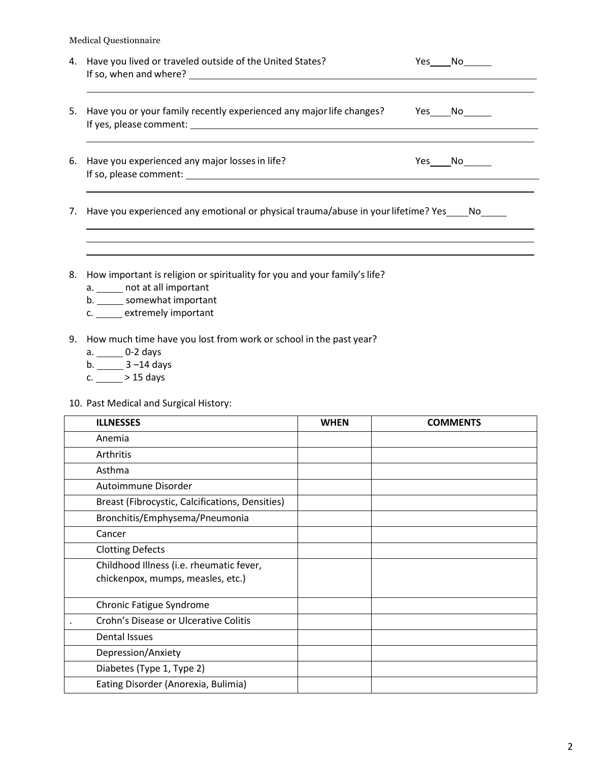|    | 4. Have you lived or traveled outside of the United States?                          | Yes | No l   |
|----|--------------------------------------------------------------------------------------|-----|--------|
| 5. | Have you or your family recently experienced any major life changes?                 |     | Yes No |
| 6. | Have you experienced any major losses in life?                                       |     | Yes No |
| 7. | Have you experienced any emotional or physical trauma/abuse in your lifetime? Yes No |     |        |
|    |                                                                                      |     |        |

- 8. How important is religion or spirituality for you and your family's life?
	- a. \_\_\_\_\_\_ not at all important
	- b. somewhat important
	- c. \_\_\_\_\_ extremely important
- 9. How much time have you lost from work or school in the past year?
	- a. \_\_\_\_\_\_ 0-2 days
	- b. \_\_\_\_\_\_\_ 3 –14 days
	- $c. \_ \_ > 15 \text{ days}$
- 10. Past Medical and Surgical History:

| <b>ILLNESSES</b>                                                              | <b>WHEN</b> | <b>COMMENTS</b> |
|-------------------------------------------------------------------------------|-------------|-----------------|
| Anemia                                                                        |             |                 |
| Arthritis                                                                     |             |                 |
| Asthma                                                                        |             |                 |
| Autoimmune Disorder                                                           |             |                 |
| Breast (Fibrocystic, Calcifications, Densities)                               |             |                 |
| Bronchitis/Emphysema/Pneumonia                                                |             |                 |
| Cancer                                                                        |             |                 |
| <b>Clotting Defects</b>                                                       |             |                 |
| Childhood Illness (i.e. rheumatic fever,<br>chickenpox, mumps, measles, etc.) |             |                 |
| Chronic Fatigue Syndrome                                                      |             |                 |
| Crohn's Disease or Ulcerative Colitis                                         |             |                 |
| Dental Issues                                                                 |             |                 |
| Depression/Anxiety                                                            |             |                 |
| Diabetes (Type 1, Type 2)                                                     |             |                 |
| Eating Disorder (Anorexia, Bulimia)                                           |             |                 |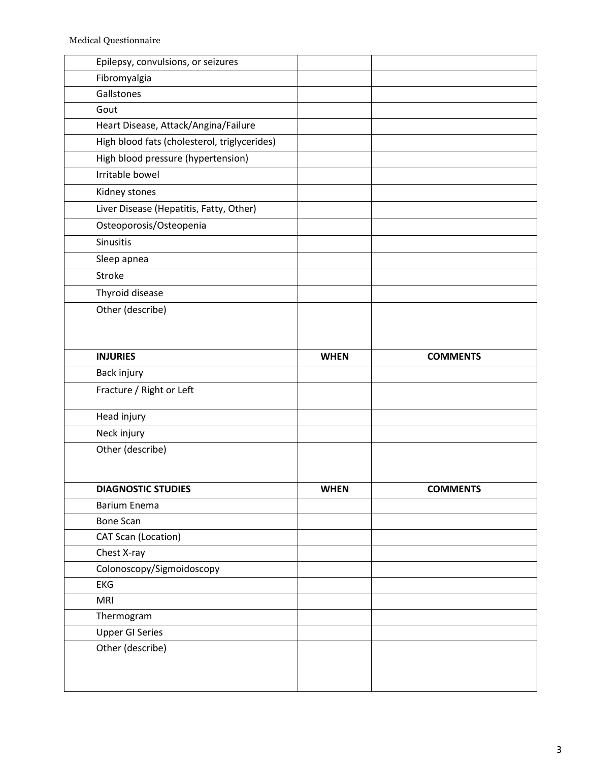| Epilepsy, convulsions, or seizures           |             |                 |
|----------------------------------------------|-------------|-----------------|
| Fibromyalgia                                 |             |                 |
| Gallstones                                   |             |                 |
| Gout                                         |             |                 |
| Heart Disease, Attack/Angina/Failure         |             |                 |
| High blood fats (cholesterol, triglycerides) |             |                 |
| High blood pressure (hypertension)           |             |                 |
| Irritable bowel                              |             |                 |
| Kidney stones                                |             |                 |
| Liver Disease (Hepatitis, Fatty, Other)      |             |                 |
| Osteoporosis/Osteopenia                      |             |                 |
| Sinusitis                                    |             |                 |
| Sleep apnea                                  |             |                 |
| Stroke                                       |             |                 |
| Thyroid disease                              |             |                 |
| Other (describe)                             |             |                 |
|                                              |             |                 |
|                                              |             |                 |
| <b>INJURIES</b>                              | <b>WHEN</b> | <b>COMMENTS</b> |
| Back injury                                  |             |                 |
| Fracture / Right or Left                     |             |                 |
| Head injury                                  |             |                 |
| Neck injury                                  |             |                 |
| Other (describe)                             |             |                 |
|                                              |             |                 |
|                                              |             |                 |
| <b>DIAGNOSTIC STUDIES</b>                    | <b>WHEN</b> | <b>COMMENTS</b> |
| <b>Barium Enema</b>                          |             |                 |
| <b>Bone Scan</b>                             |             |                 |
| CAT Scan (Location)                          |             |                 |
| Chest X-ray                                  |             |                 |
| Colonoscopy/Sigmoidoscopy                    |             |                 |
| EKG                                          |             |                 |
| <b>MRI</b>                                   |             |                 |
| Thermogram                                   |             |                 |
| <b>Upper GI Series</b>                       |             |                 |
| Other (describe)                             |             |                 |
|                                              |             |                 |
|                                              |             |                 |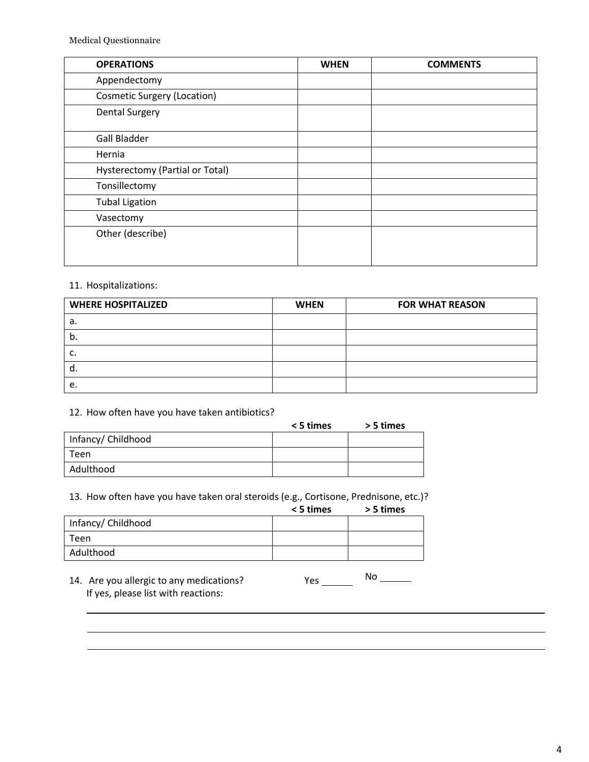| <b>OPERATIONS</b>                  | <b>WHEN</b> | <b>COMMENTS</b> |
|------------------------------------|-------------|-----------------|
| Appendectomy                       |             |                 |
| <b>Cosmetic Surgery (Location)</b> |             |                 |
| <b>Dental Surgery</b>              |             |                 |
| <b>Gall Bladder</b>                |             |                 |
| Hernia                             |             |                 |
| Hysterectomy (Partial or Total)    |             |                 |
| Tonsillectomy                      |             |                 |
| <b>Tubal Ligation</b>              |             |                 |
| Vasectomy                          |             |                 |
| Other (describe)                   |             |                 |

#### 11. Hospitalizations:

| <b>WHERE HOSPITALIZED</b> | <b>WHEN</b> | <b>FOR WHAT REASON</b> |
|---------------------------|-------------|------------------------|
| а.                        |             |                        |
| D.                        |             |                        |
|                           |             |                        |
| α.                        |             |                        |
| е.                        |             |                        |

#### 12. How often have you have taken antibiotics?

|                    | < 5 times | > 5 times |
|--------------------|-----------|-----------|
| Infancy/ Childhood |           |           |
| Teen               |           |           |
| Adulthood          |           |           |

13. How often have you have taken oral steroids (e.g., Cortisone, Prednisone, etc.)?

| < 5 times |  | > 5 times |
|-----------|--|-----------|
|           |  |           |

|                    | --------- | ---------- |
|--------------------|-----------|------------|
| Infancy/ Childhood |           |            |
| Teen               |           |            |
| Adulthood          |           |            |

14. Are you allergic to any medications? Yes \_\_\_\_\_\_ If yes, please list with reactions: No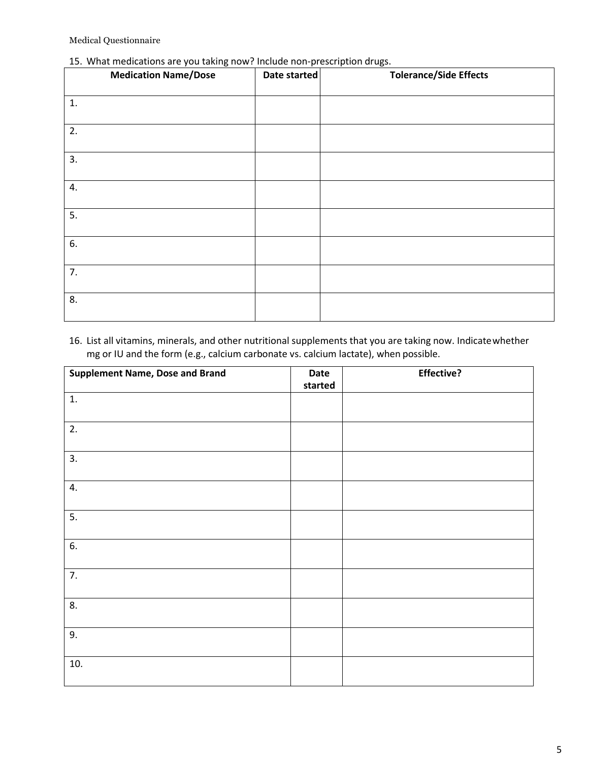# 15. What medications are you taking now? Include non‐prescription drugs.

| <b>Medication Name/Dose</b> | Date started | <b>Tolerance/Side Effects</b> |
|-----------------------------|--------------|-------------------------------|
| 1.                          |              |                               |
| 2.                          |              |                               |
| 3.                          |              |                               |
| 4.                          |              |                               |
| 5.                          |              |                               |
| 6.                          |              |                               |
| 7.                          |              |                               |
| 8.                          |              |                               |

# 16. List all vitamins, minerals, and other nutritional supplements that you are taking now. Indicatewhether mg or IU and the form (e.g., calcium carbonate vs. calcium lactate), when possible.

| <b>Supplement Name, Dose and Brand</b> | Date<br>started | <b>Effective?</b> |
|----------------------------------------|-----------------|-------------------|
| 1.                                     |                 |                   |
| 2.                                     |                 |                   |
| 3.                                     |                 |                   |
| 4.                                     |                 |                   |
| 5.                                     |                 |                   |
| 6.                                     |                 |                   |
| 7.                                     |                 |                   |
| 8.                                     |                 |                   |
| 9.                                     |                 |                   |
| 10.                                    |                 |                   |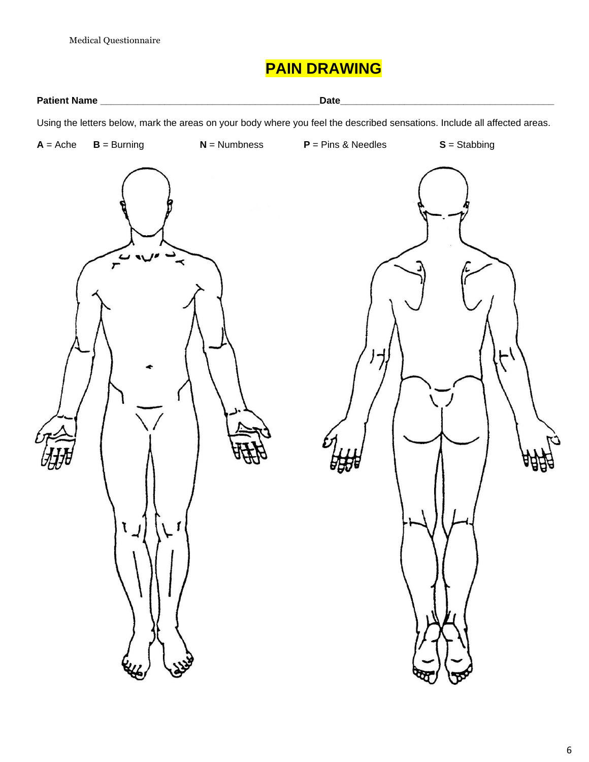# **PAIN DRAWING**

**Patient Name \_\_\_\_\_\_\_\_\_\_\_\_\_\_\_\_\_\_\_\_\_\_\_\_\_\_\_\_\_\_\_\_\_\_\_\_\_\_\_\_\_Date\_\_\_\_\_\_\_\_\_\_\_\_\_\_\_\_\_\_\_\_\_\_\_\_\_\_\_\_\_\_\_\_\_\_\_\_\_\_\_\_**

Using the letters below, mark the areas on your body where you feel the described sensations. Include all affected areas.

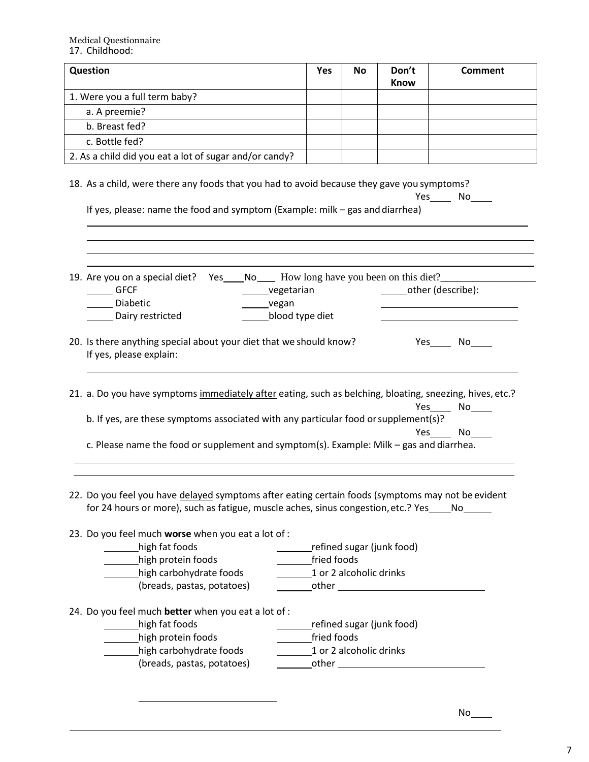| Question                                                                                                                                                                                                                                                                                   | <b>Yes</b>                                     | No | Don't<br><b>Know</b>                | Comment                         |
|--------------------------------------------------------------------------------------------------------------------------------------------------------------------------------------------------------------------------------------------------------------------------------------------|------------------------------------------------|----|-------------------------------------|---------------------------------|
| 1. Were you a full term baby?                                                                                                                                                                                                                                                              |                                                |    |                                     |                                 |
| a. A preemie?                                                                                                                                                                                                                                                                              |                                                |    |                                     |                                 |
| b. Breast fed?                                                                                                                                                                                                                                                                             |                                                |    |                                     |                                 |
| c. Bottle fed?                                                                                                                                                                                                                                                                             |                                                |    |                                     |                                 |
| 2. As a child did you eat a lot of sugar and/or candy?                                                                                                                                                                                                                                     |                                                |    |                                     |                                 |
| 18. As a child, were there any foods that you had to avoid because they gave you symptoms?<br>If yes, please: name the food and symptom (Example: milk - gas and diarrhea)                                                                                                                 |                                                |    |                                     | Yes No                          |
| Yes No How long have you been on this diet?<br>19. Are you on a special diet?<br>$\rule{1em}{0.15mm}$ GFCF<br>______vegetarian<br>Diabetic<br>__vegan<br>blood type diet<br>Dairy restricted                                                                                               |                                                |    | other (describe):                   |                                 |
| 20. Is there anything special about your diet that we should know?<br>If yes, please explain:                                                                                                                                                                                              |                                                |    |                                     | Yes No                          |
| 21. a. Do you have symptoms immediately after eating, such as belching, bloating, sneezing, hives, etc.?<br>b. If yes, are these symptoms associated with any particular food or supplement(s)?<br>c. Please name the food or supplement and symptom(s). Example: Milk - gas and diarrhea. |                                                |    |                                     | Yes_________ No______<br>Yes No |
| 22. Do you feel you have delayed symptoms after eating certain foods (symptoms may not be evident<br>for 24 hours or more), such as fatigue, muscle aches, sinus congestion, etc.? Yes _____ No_______<br>23. Do you feel much worse when you eat a lot of :                               |                                                |    |                                     |                                 |
| high fat foods                                                                                                                                                                                                                                                                             |                                                |    | __________refined sugar (junk food) |                                 |
| high protein foods                                                                                                                                                                                                                                                                         | _________fried foods                           |    |                                     |                                 |
| high carbohydrate foods                                                                                                                                                                                                                                                                    | 1 or 2 alcoholic drinks                        |    |                                     |                                 |
| (breads, pastas, potatoes)<br>24. Do you feel much better when you eat a lot of :<br>high fat foods<br>high protein foods<br>high carbohydrate foods<br>(breads, pastas, potatoes)                                                                                                         | ________fried foods<br>1 or 2 alcoholic drinks |    | refined sugar (junk food)           |                                 |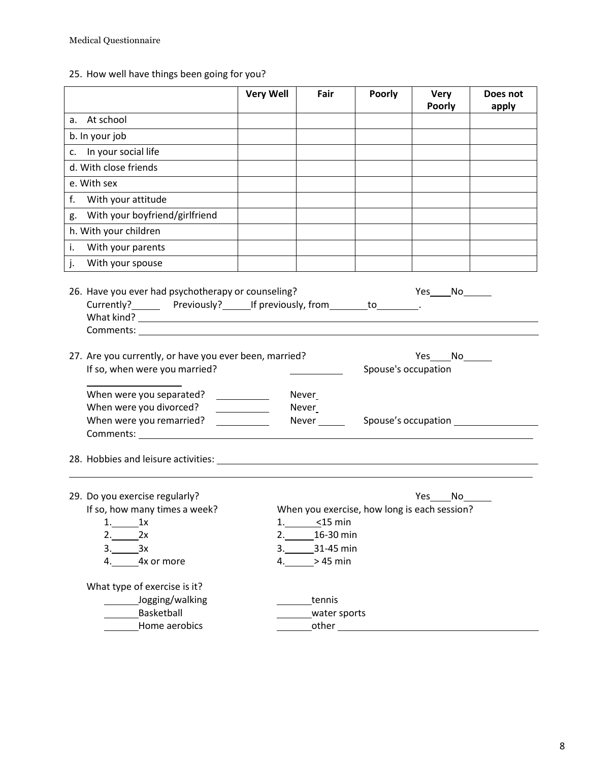25. How well have things been going for you?

|                                                                                                                                                                                                                                                                                                                   | <b>Very Well</b>                                                                                | Fair                                              | <b>Poorly</b>       | Very<br><b>Poorly</b>                                       | Does not<br>apply |
|-------------------------------------------------------------------------------------------------------------------------------------------------------------------------------------------------------------------------------------------------------------------------------------------------------------------|-------------------------------------------------------------------------------------------------|---------------------------------------------------|---------------------|-------------------------------------------------------------|-------------------|
| a. At school                                                                                                                                                                                                                                                                                                      |                                                                                                 |                                                   |                     |                                                             |                   |
| b. In your job                                                                                                                                                                                                                                                                                                    |                                                                                                 |                                                   |                     |                                                             |                   |
| c. In your social life                                                                                                                                                                                                                                                                                            |                                                                                                 |                                                   |                     |                                                             |                   |
| d. With close friends                                                                                                                                                                                                                                                                                             |                                                                                                 |                                                   |                     |                                                             |                   |
| e. With sex                                                                                                                                                                                                                                                                                                       |                                                                                                 |                                                   |                     |                                                             |                   |
| f.<br>With your attitude                                                                                                                                                                                                                                                                                          |                                                                                                 |                                                   |                     |                                                             |                   |
| g. With your boyfriend/girlfriend                                                                                                                                                                                                                                                                                 |                                                                                                 |                                                   |                     |                                                             |                   |
| h. With your children                                                                                                                                                                                                                                                                                             |                                                                                                 |                                                   |                     |                                                             |                   |
| With your parents<br>i.                                                                                                                                                                                                                                                                                           |                                                                                                 |                                                   |                     |                                                             |                   |
| With your spouse<br>j.                                                                                                                                                                                                                                                                                            |                                                                                                 |                                                   |                     |                                                             |                   |
| Currently? Previously? If previously, from to                                                                                                                                                                                                                                                                     |                                                                                                 |                                                   |                     |                                                             |                   |
| 27. Are you currently, or have you ever been, married?<br>If so, when were you married?                                                                                                                                                                                                                           |                                                                                                 |                                                   | Spouse's occupation | Yes $No$                                                    |                   |
| When were you separated?<br>When were you divorced?<br>When were you remarried?<br>Comments: Note and the set of the set of the set of the set of the set of the set of the set of the set of the set of the set of the set of the set of the set of the set of the set of the set of the set of the set of the s | $\overline{\phantom{a}}$<br><u> 1990 - Jan Bartha, amerikan per</u><br>$\overline{\phantom{a}}$ | Never<br>Never<br>Never ______                    |                     |                                                             |                   |
|                                                                                                                                                                                                                                                                                                                   |                                                                                                 |                                                   |                     |                                                             |                   |
| 29. Do you exercise regularly?<br>If so, how many times a week?<br>1.<br>1x<br>2.<br>2x<br>3.<br>3x<br>4x or more<br>4.                                                                                                                                                                                           | 1.<br>2.<br>3.<br>4.                                                                            | $<$ 15 min<br>16-30 min<br>31-45 min<br>$>45$ min |                     | Yes<br>No l<br>When you exercise, how long is each session? |                   |
| What type of exercise is it?<br>Jogging/walking<br>Basketball<br>Home aerobics                                                                                                                                                                                                                                    |                                                                                                 | tennis<br>water sports<br>other                   |                     |                                                             |                   |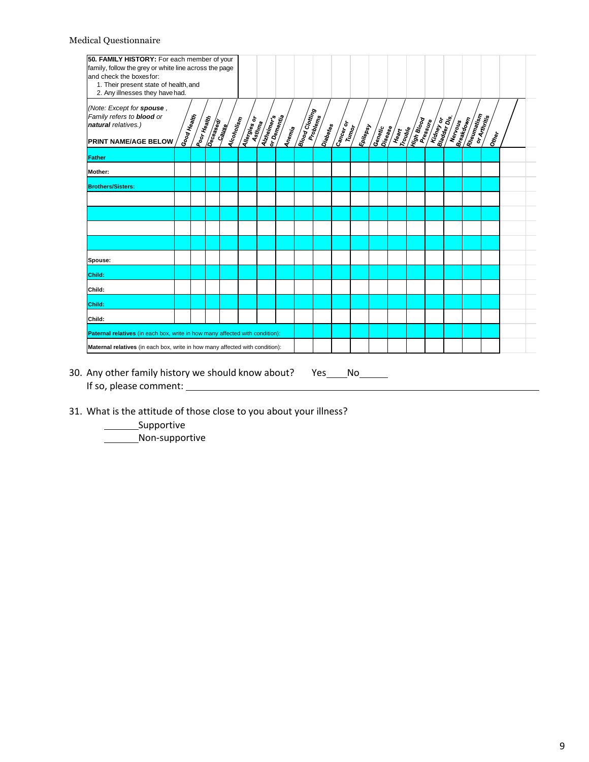| 2. Any illnesses they have had.                                                                              |                    |             |          |            |                     |             |        |                       |          |            |                      |                           |                |                   |                        |         |                   |       |  |
|--------------------------------------------------------------------------------------------------------------|--------------------|-------------|----------|------------|---------------------|-------------|--------|-----------------------|----------|------------|----------------------|---------------------------|----------------|-------------------|------------------------|---------|-------------------|-------|--|
| (Note: Except for spouse,<br>Family refers to <b>blood</b> or<br>natural relatives.)<br>PRINT NAME/AGE BELOW | <b>Good Health</b> | Poor Health | Deceased | Alcoholism | <b>Allergies</b> or | Aizheimerts | Anemia | <b>Brood Crotting</b> | Diabetes | Carlier of | Epile <sub>psy</sub> | <b>Cenetic</b><br>Cenetic | <b>ARTISTS</b> | <b>High Brood</b> | <b>Kidney of State</b> | Nervous | <b>Rheumatism</b> | Other |  |
| <b>Father</b>                                                                                                |                    |             |          |            |                     |             |        |                       |          |            |                      |                           |                |                   |                        |         |                   |       |  |
| Mother:                                                                                                      |                    |             |          |            |                     |             |        |                       |          |            |                      |                           |                |                   |                        |         |                   |       |  |
| <b>Brothers/Sisters:</b>                                                                                     |                    |             |          |            |                     |             |        |                       |          |            |                      |                           |                |                   |                        |         |                   |       |  |
|                                                                                                              |                    |             |          |            |                     |             |        |                       |          |            |                      |                           |                |                   |                        |         |                   |       |  |
|                                                                                                              |                    |             |          |            |                     |             |        |                       |          |            |                      |                           |                |                   |                        |         |                   |       |  |
|                                                                                                              |                    |             |          |            |                     |             |        |                       |          |            |                      |                           |                |                   |                        |         |                   |       |  |
|                                                                                                              |                    |             |          |            |                     |             |        |                       |          |            |                      |                           |                |                   |                        |         |                   |       |  |
| Spouse:                                                                                                      |                    |             |          |            |                     |             |        |                       |          |            |                      |                           |                |                   |                        |         |                   |       |  |
| Child:                                                                                                       |                    |             |          |            |                     |             |        |                       |          |            |                      |                           |                |                   |                        |         |                   |       |  |
| Child:                                                                                                       |                    |             |          |            |                     |             |        |                       |          |            |                      |                           |                |                   |                        |         |                   |       |  |
| Child:                                                                                                       |                    |             |          |            |                     |             |        |                       |          |            |                      |                           |                |                   |                        |         |                   |       |  |
| Child:                                                                                                       |                    |             |          |            |                     |             |        |                       |          |            |                      |                           |                |                   |                        |         |                   |       |  |
| Paternal relatives (in each box, write in how many affected with condition):                                 |                    |             |          |            |                     |             |        |                       |          |            |                      |                           |                |                   |                        |         |                   |       |  |
| Maternal relatives (in each box, write in how many affected with condition):                                 |                    |             |          |            |                     |             |        |                       |          |            |                      |                           |                |                   |                        |         |                   |       |  |

- If so, please comment:
- 31. What is the attitude of those close to you about your illness?

\_\_\_\_\_\_\_\_\_Supportive **Non-supportive**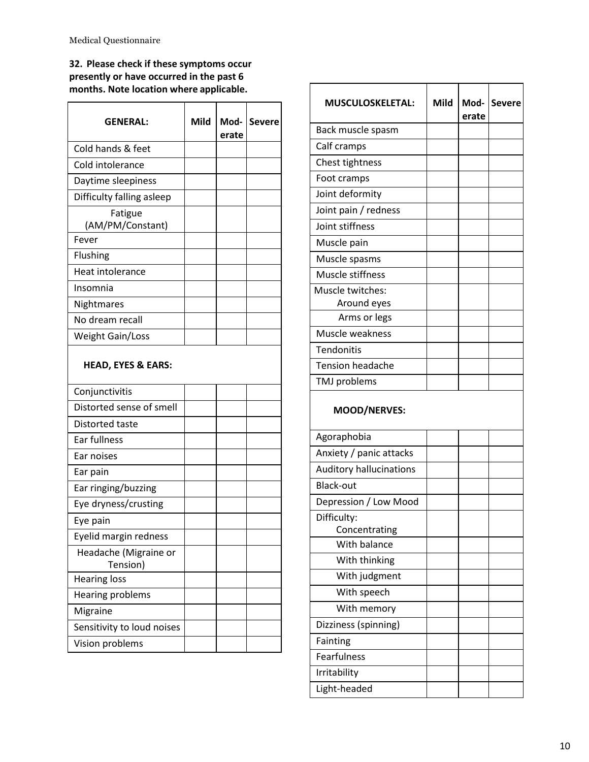**32. Please check if these symptoms occur presently or have occurred in the past 6 months. Note location where applicable.**

| <b>GENERAL:</b>               | <b>Mild</b> | Mod-<br>erate | <b>Severe</b> |
|-------------------------------|-------------|---------------|---------------|
| Cold hands & feet             |             |               |               |
| Cold intolerance              |             |               |               |
| Daytime sleepiness            |             |               |               |
| Difficulty falling asleep     |             |               |               |
| Fatigue<br>(AM/PM/Constant)   |             |               |               |
| Fever                         |             |               |               |
| Flushing                      |             |               |               |
| Heat intolerance              |             |               |               |
| Insomnia                      |             |               |               |
| Nightmares                    |             |               |               |
| No dream recall               |             |               |               |
| <b>Weight Gain/Loss</b>       |             |               |               |
| <b>HEAD, EYES &amp; EARS:</b> |             |               |               |
| Conjunctivitis                |             |               |               |
| Distorted sense of smell      |             |               |               |
| Distorted taste               |             |               |               |

| Distorted taste                   |  |  |
|-----------------------------------|--|--|
| Ear fullness                      |  |  |
| Ear noises                        |  |  |
| Ear pain                          |  |  |
| Ear ringing/buzzing               |  |  |
| Eye dryness/crusting              |  |  |
| Eye pain                          |  |  |
| Eyelid margin redness             |  |  |
| Headache (Migraine or<br>Tension) |  |  |
| Hearing loss                      |  |  |
| Hearing problems                  |  |  |
| Migraine                          |  |  |
| Sensitivity to loud noises        |  |  |
| Vision problems                   |  |  |

| <b>MUSCULOSKELETAL:</b>        | <b>Mild</b> | Mod-<br>erate | <b>Severe</b> |
|--------------------------------|-------------|---------------|---------------|
| Back muscle spasm              |             |               |               |
| Calf cramps                    |             |               |               |
| Chest tightness                |             |               |               |
| Foot cramps                    |             |               |               |
| Joint deformity                |             |               |               |
| Joint pain / redness           |             |               |               |
| Joint stiffness                |             |               |               |
| Muscle pain                    |             |               |               |
| Muscle spasms                  |             |               |               |
| Muscle stiffness               |             |               |               |
| Muscle twitches:               |             |               |               |
| Around eyes                    |             |               |               |
| Arms or legs                   |             |               |               |
| Muscle weakness                |             |               |               |
| Tendonitis                     |             |               |               |
| <b>Tension headache</b>        |             |               |               |
| <b>TMJ</b> problems            |             |               |               |
| <b>MOOD/NERVES:</b>            |             |               |               |
| Agoraphobia                    |             |               |               |
| Anxiety / panic attacks        |             |               |               |
| <b>Auditory hallucinations</b> |             |               |               |
| <b>Black-out</b>               |             |               |               |
| Depression / Low Mood          |             |               |               |
| Difficulty:<br>Concentrating   |             |               |               |
| With balance                   |             |               |               |
| With thinking                  |             |               |               |

With judgment With speech With memory Dizziness (spinning)

Fainting Fearfulness Irritability Light‐headed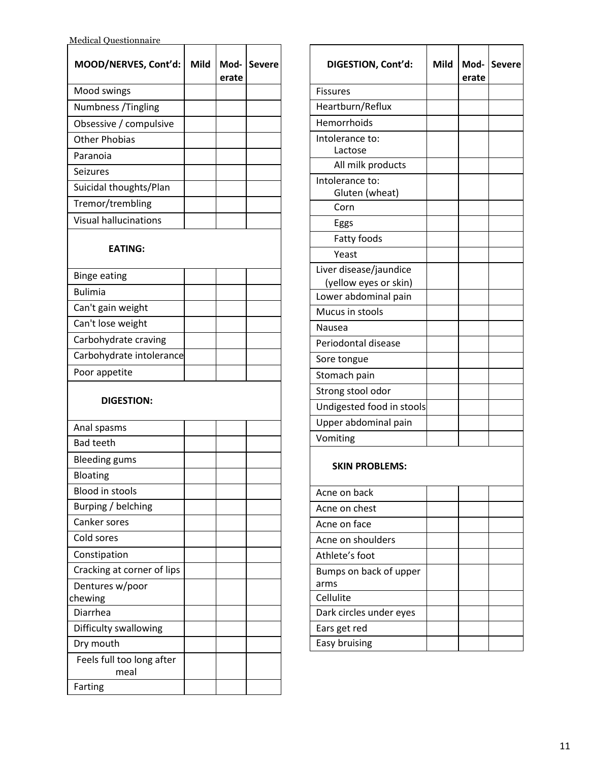| MOOD/NERVES, Cont'd:              | Mild | Mod-<br>erate | <b>Severe</b> |
|-----------------------------------|------|---------------|---------------|
| Mood swings                       |      |               |               |
| Numbness / Tingling               |      |               |               |
| Obsessive / compulsive            |      |               |               |
| <b>Other Phobias</b>              |      |               |               |
| Paranoia                          |      |               |               |
| <b>Seizures</b>                   |      |               |               |
| Suicidal thoughts/Plan            |      |               |               |
| Tremor/trembling                  |      |               |               |
| <b>Visual hallucinations</b>      |      |               |               |
| <b>EATING:</b>                    |      |               |               |
| <b>Binge eating</b>               |      |               |               |
| <b>Bulimia</b>                    |      |               |               |
| Can't gain weight                 |      |               |               |
| Can't lose weight                 |      |               |               |
| Carbohydrate craving              |      |               |               |
| Carbohydrate intolerance          |      |               |               |
| Poor appetite                     |      |               |               |
| <b>DIGESTION:</b>                 |      |               |               |
| Anal spasms                       |      |               |               |
| <b>Bad teeth</b>                  |      |               |               |
| <b>Bleeding gums</b>              |      |               |               |
| Bloating                          |      |               |               |
| <b>Blood in stools</b>            |      |               |               |
| Burping / belching                |      |               |               |
| Canker sores                      |      |               |               |
| Cold sores                        |      |               |               |
| Constipation                      |      |               |               |
| Cracking at corner of lips        |      |               |               |
| Dentures w/poor                   |      |               |               |
| chewing                           |      |               |               |
| Diarrhea                          |      |               |               |
| Difficulty swallowing             |      |               |               |
| Dry mouth                         |      |               |               |
| Feels full too long after<br>meal |      |               |               |
| Farting                           |      |               |               |

| DIGESTION, Cont'd:                | Mild | Mod-<br>erate | <b>Severe</b> |
|-----------------------------------|------|---------------|---------------|
| <b>Fissures</b>                   |      |               |               |
| Heartburn/Reflux                  |      |               |               |
| Hemorrhoids                       |      |               |               |
| Intolerance to:<br>Lactose        |      |               |               |
| All milk products                 |      |               |               |
| Intolerance to:<br>Gluten (wheat) |      |               |               |
| Corn                              |      |               |               |
| Eggs                              |      |               |               |
| Fatty foods                       |      |               |               |
| Yeast                             |      |               |               |
| Liver disease/jaundice            |      |               |               |
| (yellow eyes or skin)             |      |               |               |
| Lower abdominal pain              |      |               |               |
| Mucus in stools                   |      |               |               |
| Nausea                            |      |               |               |
| Periodontal disease               |      |               |               |
| Sore tongue                       |      |               |               |
| Stomach pain                      |      |               |               |
| Strong stool odor                 |      |               |               |
| Undigested food in stools         |      |               |               |
| Upper abdominal pain              |      |               |               |
| Vomiting                          |      |               |               |
| <b>SKIN PROBLEMS:</b>             |      |               |               |
| Acne on back                      |      |               |               |
| Acne on chest                     |      |               |               |
| Acne on face                      |      |               |               |
| Acne on shoulders                 |      |               |               |
| Athlete's foot                    |      |               |               |
| Bumps on back of upper<br>arms    |      |               |               |
| Cellulite                         |      |               |               |
| Dark circles under eyes           |      |               |               |
| Ears get red                      |      |               |               |
| Easy bruising                     |      |               |               |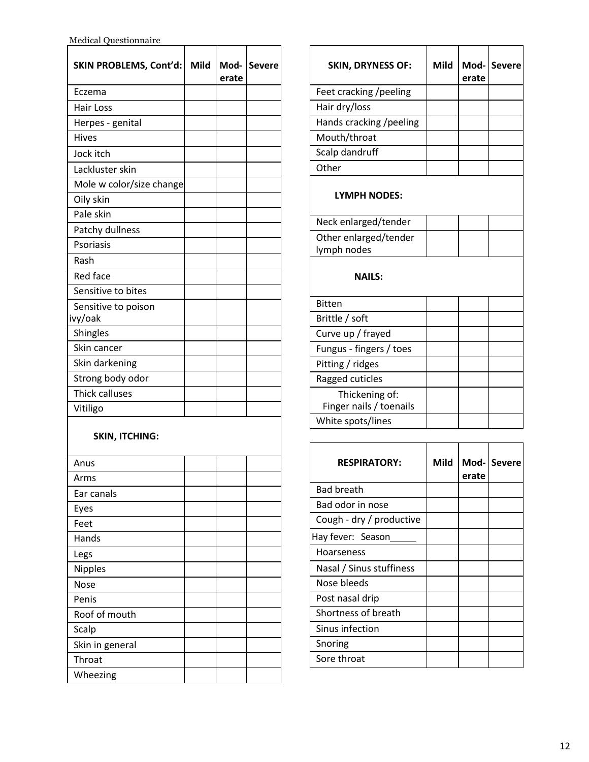Medical Questionnaire

| <b>SKIN PROBLEMS, Cont'd:</b> | Mild | Mod-<br>erate | <b>Severe</b> |
|-------------------------------|------|---------------|---------------|
| Eczema                        |      |               |               |
| <b>Hair Loss</b>              |      |               |               |
| Herpes - genital              |      |               |               |
| Hives                         |      |               |               |
| Jock itch                     |      |               |               |
| Lackluster skin               |      |               |               |
| Mole w color/size change      |      |               |               |
| Oily skin                     |      |               |               |
| Pale skin                     |      |               |               |
| Patchy dullness               |      |               |               |
| Psoriasis                     |      |               |               |
| Rash                          |      |               |               |
| Red face                      |      |               |               |
| Sensitive to bites            |      |               |               |
| Sensitive to poison           |      |               |               |
| ivy/oak                       |      |               |               |
| Shingles                      |      |               |               |
| Skin cancer                   |      |               |               |
| Skin darkening                |      |               |               |
| Strong body odor              |      |               |               |
| <b>Thick calluses</b>         |      |               |               |
| Vitiligo                      |      |               |               |
| <b>SKIN, ITCHING:</b>         |      |               |               |
| Anus                          |      |               |               |
| Arms                          |      |               |               |
| Ear canals                    |      |               |               |
| Eyes                          |      |               |               |
| Feet                          |      |               |               |
| Hands                         |      |               |               |
| Legs                          |      |               |               |
| Nipples                       |      |               |               |
| <b>Nose</b>                   |      |               |               |
| Penis                         |      |               |               |
| Roof of mouth                 |      |               |               |
| Scalp                         |      |               |               |
| Skin in general               |      |               |               |
| Throat                        |      |               |               |
| Wheezing                      |      |               |               |

| <b>SKIN, DRYNESS OF:</b>                  | Mild | erate | Mod-Severe |
|-------------------------------------------|------|-------|------------|
| Feet cracking /peeling                    |      |       |            |
| Hair dry/loss                             |      |       |            |
| Hands cracking /peeling                   |      |       |            |
| Mouth/throat                              |      |       |            |
| Scalp dandruff                            |      |       |            |
| Other                                     |      |       |            |
| <b>LYMPH NODES:</b>                       |      |       |            |
| Neck enlarged/tender                      |      |       |            |
| Other enlarged/tender<br>lymph nodes      |      |       |            |
| <b>NAILS:</b>                             |      |       |            |
| Bitten                                    |      |       |            |
| Brittle / soft                            |      |       |            |
| Curve up / frayed                         |      |       |            |
| Fungus - fingers / toes                   |      |       |            |
| Pitting / ridges                          |      |       |            |
| Ragged cuticles                           |      |       |            |
| Thickening of:<br>Finger nails / toenails |      |       |            |
| White spots/lines                         |      |       |            |

F

 $\blacksquare$ 

 $\overline{\phantom{a}}$ 

T

T

۰

| <b>RESPIRATORY:</b>      | Mild | Mod-<br>erate | <b>Severe</b> |
|--------------------------|------|---------------|---------------|
| Bad breath               |      |               |               |
| Bad odor in nose         |      |               |               |
| Cough - dry / productive |      |               |               |
| Hay fever: Season        |      |               |               |
| Hoarseness               |      |               |               |
| Nasal / Sinus stuffiness |      |               |               |
| Nose bleeds              |      |               |               |
| Post nasal drip          |      |               |               |
| Shortness of breath      |      |               |               |
| Sinus infection          |      |               |               |
| Snoring                  |      |               |               |
| Sore throat              |      |               |               |

÷

 $\overline{\phantom{a}}$ 

 $\overline{\phantom{a}}$ 

٦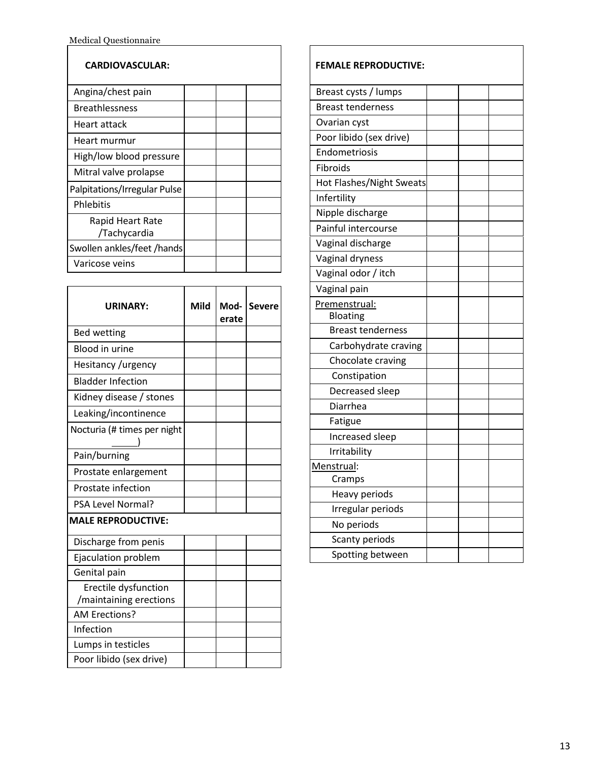| <b>CARDIOVASCULAR:</b>           |  |  |
|----------------------------------|--|--|
| Angina/chest pain                |  |  |
| <b>Breathlessness</b>            |  |  |
| Heart attack                     |  |  |
| Heart murmur                     |  |  |
| High/low blood pressure          |  |  |
| Mitral valve prolapse            |  |  |
| Palpitations/Irregular Pulse     |  |  |
| Phlebitis                        |  |  |
| Rapid Heart Rate<br>/Tachycardia |  |  |
| Swollen ankles/feet /hands       |  |  |
| Varicose veins                   |  |  |

 $\overline{\phantom{a}}$ 

| <b>URINARY:</b>                                | Mild | Mod-<br>erate | <b>Severe</b> |
|------------------------------------------------|------|---------------|---------------|
| <b>Bed wetting</b>                             |      |               |               |
| <b>Blood in urine</b>                          |      |               |               |
| Hesitancy /urgency                             |      |               |               |
| <b>Bladder Infection</b>                       |      |               |               |
| Kidney disease / stones                        |      |               |               |
| Leaking/incontinence                           |      |               |               |
| Nocturia (# times per night                    |      |               |               |
| Pain/burning                                   |      |               |               |
| Prostate enlargement                           |      |               |               |
| <b>Prostate infection</b>                      |      |               |               |
| <b>PSA Level Normal?</b>                       |      |               |               |
| <b>MALE REPRODUCTIVE:</b>                      |      |               |               |
| Discharge from penis                           |      |               |               |
| Ejaculation problem                            |      |               |               |
| Genital pain                                   |      |               |               |
| Erectile dysfunction<br>/maintaining erections |      |               |               |
| AM Erections?                                  |      |               |               |
| Infection                                      |      |               |               |
| Lumps in testicles                             |      |               |               |
| Poor libido (sex drive)                        |      |               |               |

| <b>FEMALE REPRODUCTIVE:</b> |  |
|-----------------------------|--|
| Breast cysts / lumps        |  |
| <b>Breast tenderness</b>    |  |
| Ovarian cyst                |  |
| Poor libido (sex drive)     |  |
| Endometriosis               |  |
| Fibroids                    |  |
| Hot Flashes/Night Sweats    |  |
| Infertility                 |  |
| Nipple discharge            |  |
| Painful intercourse         |  |
| Vaginal discharge           |  |
| Vaginal dryness             |  |
| Vaginal odor / itch         |  |
| Vaginal pain                |  |
| Premenstrual:               |  |
| <b>Bloating</b>             |  |
| <b>Breast tenderness</b>    |  |
| Carbohydrate craving        |  |
| Chocolate craving           |  |
| Constipation                |  |
| Decreased sleep             |  |
| Diarrhea                    |  |
| Fatigue                     |  |
| Increased sleep             |  |
| Irritability                |  |
| Menstrual:                  |  |
| Cramps                      |  |
| Heavy periods               |  |
| Irregular periods           |  |
| No periods                  |  |
| Scanty periods              |  |
| Spotting between            |  |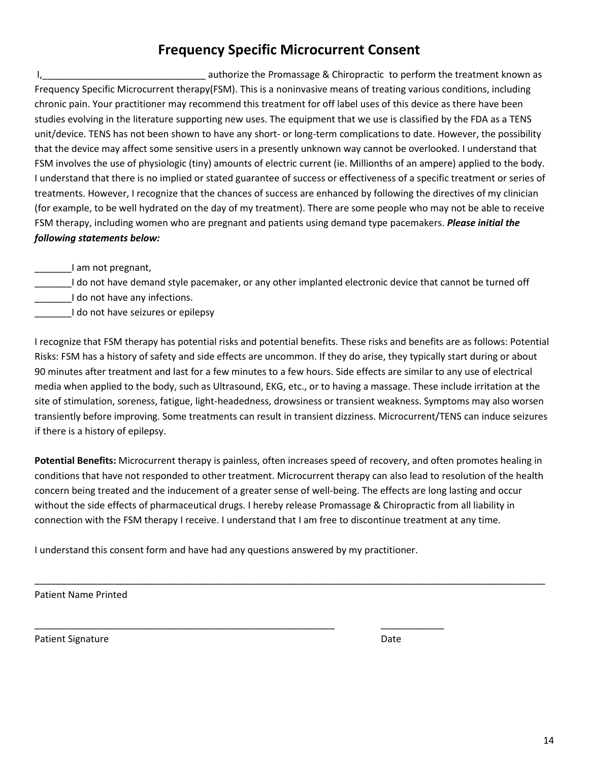# **Frequency Specific Microcurrent Consent**

I, Letter the School authorize the Promassage & Chiropractic to perform the treatment known as Frequency Specific Microcurrent therapy(FSM). This is a noninvasive means of treating various conditions, including chronic pain. Your practitioner may recommend this treatment for off label uses of this device as there have been studies evolving in the literature supporting new uses. The equipment that we use is classified by the FDA as a TENS unit/device. TENS has not been shown to have any short- or long-term complications to date. However, the possibility that the device may affect some sensitive users in a presently unknown way cannot be overlooked. I understand that FSM involves the use of physiologic (tiny) amounts of electric current (ie. Millionths of an ampere) applied to the body. I understand that there is no implied or stated guarantee of success or effectiveness of a specific treatment or series of treatments. However, I recognize that the chances of success are enhanced by following the directives of my clinician (for example, to be well hydrated on the day of my treatment). There are some people who may not be able to receive FSM therapy, including women who are pregnant and patients using demand type pacemakers. *Please initial the following statements below:*

\_\_\_\_\_\_\_I am not pregnant,

\_\_\_\_\_\_\_I do not have demand style pacemaker, or any other implanted electronic device that cannot be turned off I do not have any infections.

I do not have seizures or epilepsy

I recognize that FSM therapy has potential risks and potential benefits. These risks and benefits are as follows: Potential Risks: FSM has a history of safety and side effects are uncommon. If they do arise, they typically start during or about 90 minutes after treatment and last for a few minutes to a few hours. Side effects are similar to any use of electrical media when applied to the body, such as Ultrasound, EKG, etc., or to having a massage. These include irritation at the site of stimulation, soreness, fatigue, light-headedness, drowsiness or transient weakness. Symptoms may also worsen transiently before improving. Some treatments can result in transient dizziness. Microcurrent/TENS can induce seizures if there is a history of epilepsy.

**Potential Benefits:** Microcurrent therapy is painless, often increases speed of recovery, and often promotes healing in conditions that have not responded to other treatment. Microcurrent therapy can also lead to resolution of the health concern being treated and the inducement of a greater sense of well-being. The effects are long lasting and occur without the side effects of pharmaceutical drugs. I hereby release Promassage & Chiropractic from all liability in connection with the FSM therapy I receive. I understand that I am free to discontinue treatment at any time.

\_\_\_\_\_\_\_\_\_\_\_\_\_\_\_\_\_\_\_\_\_\_\_\_\_\_\_\_\_\_\_\_\_\_\_\_\_\_\_\_\_\_\_\_\_\_\_\_\_\_\_\_\_\_\_\_\_\_\_\_\_\_\_\_\_\_\_\_\_\_\_\_\_\_\_\_\_\_\_\_\_\_\_\_\_\_\_\_\_\_\_\_\_\_\_\_\_

I understand this consent form and have had any questions answered by my practitioner.

\_\_\_\_\_\_\_\_\_\_\_\_\_\_\_\_\_\_\_\_\_\_\_\_\_\_\_\_\_\_\_\_\_\_\_\_\_\_\_\_\_\_\_\_\_\_\_\_\_\_\_\_\_\_\_\_\_ \_\_\_\_\_\_\_\_\_\_\_\_

Patient Name Printed

Patient Signature Date Date of the Date of the Date of the Date Date of the Date of the Date of the Date of the Date of the Date of the Date of the Date of the Date of the Date of the Date of the Date of the Date of the Da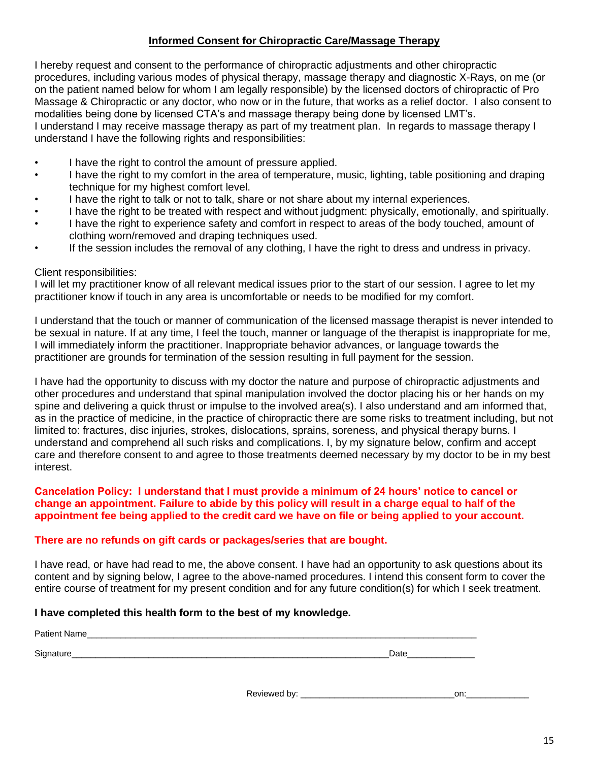# **Informed Consent for Chiropractic Care/Massage Therapy**

I hereby request and consent to the performance of chiropractic adjustments and other chiropractic procedures, including various modes of physical therapy, massage therapy and diagnostic X-Rays, on me (or on the patient named below for whom I am legally responsible) by the licensed doctors of chiropractic of Pro Massage & Chiropractic or any doctor, who now or in the future, that works as a relief doctor. I also consent to modalities being done by licensed CTA's and massage therapy being done by licensed LMT's. I understand I may receive massage therapy as part of my treatment plan. In regards to massage therapy I understand I have the following rights and responsibilities:

- I have the right to control the amount of pressure applied.
- I have the right to my comfort in the area of temperature, music, lighting, table positioning and draping technique for my highest comfort level.
- I have the right to talk or not to talk, share or not share about my internal experiences.
- I have the right to be treated with respect and without judgment: physically, emotionally, and spiritually.
- I have the right to experience safety and comfort in respect to areas of the body touched, amount of clothing worn/removed and draping techniques used.
- If the session includes the removal of any clothing, I have the right to dress and undress in privacy.

## Client responsibilities:

I will let my practitioner know of all relevant medical issues prior to the start of our session. I agree to let my practitioner know if touch in any area is uncomfortable or needs to be modified for my comfort.

I understand that the touch or manner of communication of the licensed massage therapist is never intended to be sexual in nature. If at any time, I feel the touch, manner or language of the therapist is inappropriate for me, I will immediately inform the practitioner. Inappropriate behavior advances, or language towards the practitioner are grounds for termination of the session resulting in full payment for the session.

I have had the opportunity to discuss with my doctor the nature and purpose of chiropractic adjustments and other procedures and understand that spinal manipulation involved the doctor placing his or her hands on my spine and delivering a quick thrust or impulse to the involved area(s). I also understand and am informed that, as in the practice of medicine, in the practice of chiropractic there are some risks to treatment including, but not limited to: fractures, disc injuries, strokes, dislocations, sprains, soreness, and physical therapy burns. I understand and comprehend all such risks and complications. I, by my signature below, confirm and accept care and therefore consent to and agree to those treatments deemed necessary by my doctor to be in my best interest.

# **Cancelation Policy: I understand that I must provide a minimum of 24 hours' notice to cancel or change an appointment. Failure to abide by this policy will result in a charge equal to half of the appointment fee being applied to the credit card we have on file or being applied to your account.**

## **There are no refunds on gift cards or packages/series that are bought.**

I have read, or have had read to me, the above consent. I have had an opportunity to ask questions about its content and by signing below, I agree to the above-named procedures. I intend this consent form to cover the entire course of treatment for my present condition and for any future condition(s) for which I seek treatment.

## **I have completed this health form to the best of my knowledge.**

| <b>Dotion</b> |                   |
|---------------|-------------------|
|               |                   |
| Sinnay        | -<br>ינט.<br>Dalo |

Reviewed by: example and the set of the set of the set of the set of the set of the set of the set of the set o